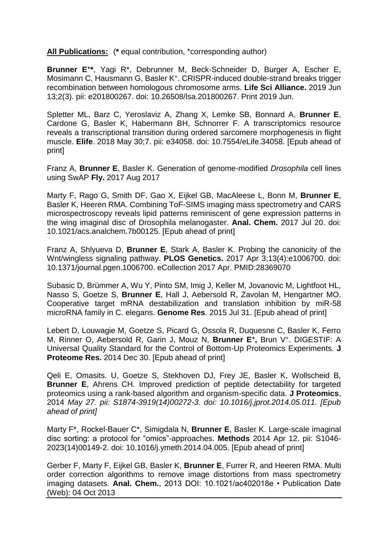**All Publications:** (**\*** equal contribution, **<sup>+</sup>**corresponding author)

**Brunner E<sup>+</sup> \***, Yagi R\*, Debrunner M, Beck-Schneider D, Burger A, Escher E, Mosimann C, Hausmann G, Basler K<sup>+</sup> . CRISPR-induced double-strand breaks trigger recombination between homologous chromosome arms. **Life Sci Alliance.** 2019 Jun 13;2(3). pii: e201800267. doi: 10.26508/lsa.201800267. Print 2019 Jun.

Spletter ML, Barz C, Yeroslaviz A, Zhang X, Lemke SB, Bonnard A, **Brunner E**, Cardone G, Basler K, Habermann BH, Schnorrer F. A transcriptomics resource reveals a transcriptional transition during ordered sarcomere morphogenesis in flight muscle. **Elife**. 2018 May 30;7. pii: e34058. doi: 10.7554/eLife.34058. [Epub ahead of print]

Franz A, **Brunner E**, Basler K. Generation of genome-modified *Drosophila* cell lines using SwAP **Fly.** 2017 Aug 2017

Marty F, Rago G, Smith DF, Gao X, Eijkel GB, MacAleese L, Bonn M, **Brunner E**, Basler K, Heeren RMA. Combining ToF-SIMS imaging mass spectrometry and CARS microspectroscopy reveals lipid patterns reminiscent of gene expression patterns in the wing imaginal disc of Drosophila melanogaster. **Anal. Chem.** 2017 Jul 20. doi: 10.1021/acs.analchem.7b00125. [Epub ahead of print]

Franz A, Shlyueva D, **Brunner E**, Stark A, Basler K. Probing the canonicity of the Wnt/wingless signaling pathway. **PLOS Genetics.** 2017 Apr 3;13(4):e1006700. doi: 10.1371/journal.pgen.1006700. eCollection 2017 Apr. PMID:28369070

Subasic D, Brümmer A, Wu Y, Pinto SM, Imig J, Keller M, Jovanovic M, Lightfoot HL, Nasso S, Goetze S, **Brunner E**, Hall J, Aebersold R, Zavolan M, Hengartner MO. Cooperative target mRNA destabilization and translation inhibition by miR-58 microRNA family in C. elegans. **Genome Res**. 2015 Jul 31. [Epub ahead of print]

Lebert D, Louwagie M, Goetze S, Picard G, Ossola R, Duquesne C, Basler K, Ferro M, Rinner O, Aebersold R, Garin J, Mouz N, **Brunner E<sup>+</sup> ,** Brun V<sup>+</sup> . DIGESTIF: A Universal Quality Standard for the Control of Bottom-Up Proteomics Experiments. **J Proteome Res.** 2014 Dec 30. [Epub ahead of print]

Qeli E, Omasits. U, Goetze S, Stekhoven DJ, Frey JE, Basler K, Wollscheid B, **Brunner E**, Ahrens CH. Improved prediction of peptide detectability for targeted proteomics using a rank-based algorithm and organism-specific data. **J Proteomics**, 2014 *May 27. pii: S1874-3919(14)00272-3. doi: 10.1016/j.jprot.2014.05.011. [Epub ahead of print]*

Marty F\*, Rockel-Bauer C\*, Simigdala N, **Brunner E**, Basler K. Large-scale imaginal disc sorting: a protocol for "omics"-approaches. **Methods** 2014 Apr 12. pii: S1046- 2023(14)00149-2. doi: 10.1016/j.ymeth.2014.04.005. [Epub ahead of print]

Gerber F, Marty F, Eijkel GB, Basler K, **Brunner E**, Furrer R, and Heeren RMA. Multi order correction algorithms to remove image distortions from mass spectrometry imaging datasets. **Anal. Chem.**, 2013 DOI: 10.1021/ac402018e • Publication Date (Web): 04 Oct 2013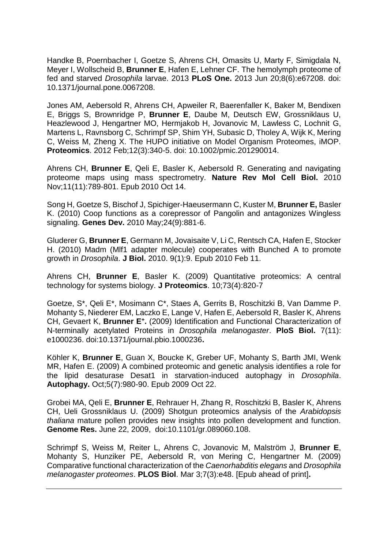Handke B, Poernbacher I, Goetze S, Ahrens CH, Omasits U, Marty F, Simigdala N, Meyer I, Wollscheid B, **Brunner E**, Hafen E, Lehner CF. The hemolymph proteome of fed and starved *Drosophila* larvae. 2013 **PLoS One.** 2013 Jun 20;8(6):e67208. doi: 10.1371/journal.pone.0067208.

Jones AM, Aebersold R, Ahrens CH, Apweiler R, Baerenfaller K, Baker M, Bendixen E, Briggs S, Brownridge P, **Brunner E**, Daube M, Deutsch EW, Grossniklaus U, Heazlewood J, Hengartner MO, Hermjakob H, Jovanovic M, Lawless C, Lochnit G, Martens L, Ravnsborg C, Schrimpf SP, Shim YH, Subasic D, Tholey A, Wijk K, Mering C, Weiss M, Zheng X. The HUPO initiative on Model Organism Proteomes, iMOP. **Proteomics**. 2012 Feb;12(3):340-5. doi: 10.1002/pmic.201290014.

Ahrens CH, **Brunner E**, Qeli E, Basler K, Aebersold R. Generating and navigating proteome maps using mass spectrometry. **Nature Rev Mol Cell Biol.** 2010 Nov;11(11):789-801. Epub 2010 Oct 14.

Song H, Goetze S, Bischof J, Spichiger-Haeusermann C, Kuster M, **Brunner E,** Basler K. (2010) Coop functions as a corepressor of Pangolin and antagonizes Wingless signaling. **Genes Dev.** 2010 May;24(9):881-6.

Gluderer G, **Brunner E**, Germann M, Jovaisaite V, Li C, Rentsch CA, Hafen E, Stocker H. (2010) Madm (Mlf1 adapter molecule) cooperates with Bunched A to promote growth in *Drosophila*. **J Biol.** 2010. 9(1):9. Epub 2010 Feb 11.

Ahrens CH, **Brunner E**, Basler K. (2009) Quantitative proteomics: A central technology for systems biology. **J Proteomics**. 10;73(4):820-7

Goetze, S\*, Qeli E\*, Mosimann C\*, Staes A, Gerrits B, Roschitzki B, Van Damme P. Mohanty S, Niederer EM, Laczko E, Lange V, Hafen E, Aebersold R, Basler K, Ahrens CH, Gevaert K, **Brunner E<sup>+</sup> .** (2009) Identification and Functional Characterization of N-terminally acetylated Proteins in *Drosophila melanogaster*. **PloS Biol.** 7(11): e1000236. doi:10.1371/journal.pbio.1000236**.**

Köhler K, **Brunner E**, Guan X, Boucke K, Greber UF, Mohanty S, Barth JMI, Wenk MR, Hafen E. (2009) A combined proteomic and genetic analysis identifies a role for the lipid desaturase Desat1 in starvation-induced autophagy in *Drosophila*. **Autophagy.** Oct;5(7):980-90. Epub 2009 Oct 22.

Grobei MA, Qeli E, **Brunner E**, Rehrauer H, Zhang R, Roschitzki B, Basler K, Ahrens CH, Ueli Grossniklaus U. (2009) Shotgun proteomics analysis of the *Arabidopsis thaliana* mature pollen provides new insights into pollen development and function. **Genome Res.** June 22, 2009, doi:10.1101/gr.089060.108.

Schrimpf S, Weiss M, Reiter L, Ahrens C, Jovanovic M, Malström J, **Brunner E**, Mohanty S, Hunziker PE, Aebersold R, von Mering C, Hengartner M. (2009) Comparative functional characterization of the *Caenorhabditis elegans* and *Drosophila melanogaster proteomes*. **PLOS Biol**. Mar 3;7(3):e48. [Epub ahead of print]**.**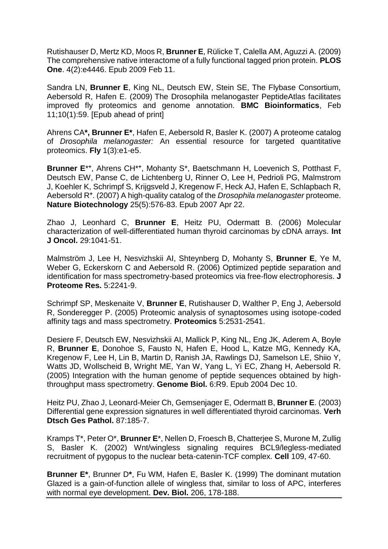Rutishauser D, Mertz KD, Moos R, **Brunner E**, Rülicke T, Calella AM, Aguzzi A. (2009) The comprehensive native interactome of a fully functional tagged prion protein. **PLOS One**. 4(2):e4446. Epub 2009 Feb 11.

Sandra LN, **Brunner E**, King NL, Deutsch EW, Stein SE, The Flybase Consortium, Aebersold R, Hafen E. (2009) The Drosophila melanogaster PeptideAtlas facilitates improved fly proteomics and genome annotation. **BMC Bioinformatics**, Feb 11;10(1):59. [Epub ahead of print]

Ahrens CA**\*, Brunner E\***, Hafen E, Aebersold R, Basler K. (2007) A proteome catalog of *Drosophila melanogaster:* An essential resource for targeted quantitative proteomics. **Fly** 1(3):e1-e5.

Brunner E<sup>\*+</sup>, Ahrens CH<sup>\*+</sup>, Mohanty S<sup>\*</sup>, Baetschmann H, Loevenich S, Potthast F, Deutsch EW, Panse C, de Lichtenberg U, Rinner O, Lee H, Pedrioli PG, Malmstrom J, Koehler K, Schrimpf S, Krijgsveld J, Kregenow F, Heck AJ, Hafen E, Schlapbach R, Aebersold R**<sup>+</sup>** . (2007) A high-quality catalog of the *Drosophila melanogaster* proteome. **Nature Biotechnology** 25(5):576-83. Epub 2007 Apr 22.

Zhao J, Leonhard C, **Brunner E**, Heitz PU, Odermatt B. (2006) Molecular characterization of well-differentiated human thyroid carcinomas by cDNA arrays. **Int J Oncol.** 29:1041-51.

Malmström J, Lee H, Nesvizhskii AI, Shteynberg D, Mohanty S, **Brunner E**, Ye M, Weber G, Eckerskorn C and Aebersold R. (2006) Optimized peptide separation and identification for mass spectrometry-based proteomics via free-flow electrophoresis. **J Proteome Res.** 5:2241-9.

Schrimpf SP, Meskenaite V, **Brunner E**, Rutishauser D, Walther P, Eng J, Aebersold R, Sonderegger P. (2005) Proteomic analysis of synaptosomes using isotope-coded affinity tags and mass spectrometry. **Proteomics** 5:2531-2541.

Desiere F, Deutsch EW, Nesvizhskii AI, Mallick P, King NL, Eng JK, Aderem A, Boyle R, **Brunner E**, Donohoe S, Fausto N, Hafen E, Hood L, Katze MG, Kennedy KA, Kregenow F, Lee H, Lin B, Martin D, Ranish JA, Rawlings DJ, Samelson LE, Shiio Y, Watts JD, Wollscheid B, Wright ME, Yan W, Yang L, Yi EC, Zhang H, Aebersold R. (2005) Integration with the human genome of peptide sequences obtained by highthroughput mass spectrometry. **Genome Biol.** 6:R9. Epub 2004 Dec 10.

Heitz PU, Zhao J, Leonard-Meier Ch, Gemsenjager E, Odermatt B, **Brunner E**. (2003) Differential gene expression signatures in well differentiated thyroid carcinomas. **Verh Dtsch Ges Pathol.** 87:185-7.

Kramps T\*, Peter O\*, **Brunner E**\*, Nellen D, Froesch B, Chatterjee S, Murone M, Zullig S, Basler K. (2002) Wnt/wingless signaling requires BCL9/legless-mediated recruitment of pygopus to the nuclear beta-catenin-TCF complex. **Cell** 109, 47-60.

**Brunner E\***, Brunner D**\***, Fu WM, Hafen E, Basler K. (1999) The dominant mutation Glazed is a gain-of-function allele of wingless that, similar to loss of APC, interferes with normal eye development. **Dev. Biol.** 206, 178-188.